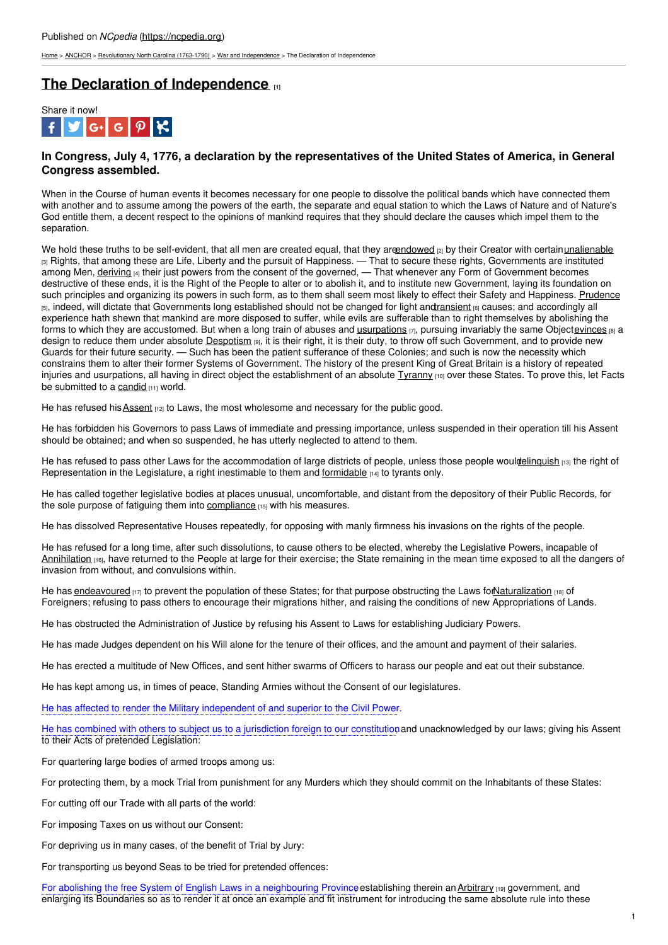[Home](https://ncpedia.org/) > [ANCHOR](https://ncpedia.org/anchor/anchor) > [Revolutionary](https://ncpedia.org/anchor/revolutionary-north-carolina) North Carolina (1763-1790) > War and [Independence](https://ncpedia.org/anchor/war-and-independence) > The Declaration of Independence

# **The Declaration of [Independence](https://ncpedia.org/anchor/declaration-independence)**  $[1]$



# In Congress, July 4, 1776, a declaration by the representatives of the United States of America, in General **Congress assembled.**

When in the Course of human events it becomes necessary for one people to dissolve the political bands which have connected them with another and to assume among the powers of the earth, the separate and equal station to which the Laws of Nature and of Nature's God entitle them, a decent respect to the opinions of mankind requires that they should declare the causes which impel them to the separation.

We hold these truths to be self-evident, that all men are created equal, that they are indowed  $_{[2]}$  by their Creator with certain[unalienable](https://ncpedia.org/glossary/unalienable) <sup>[3]</sup> Rights, that among these are Life, Liberty and the pursuit of Happiness. — That to secure these rights, Governments are instituted among Men, [deriving](https://ncpedia.org/glossary/derive) [4] their just powers from the [consen](http://www.social9.com)t of the governed, — That whenever any Form of Government becomes destructive of these ends, it is the Right of the People to alter or to abolish it, and to institute new Government, laying its foundation on such principles and organizing its powers in such form, as to them shall seem most likely to effect their Safety and Happiness. [Prudence](https://ncpedia.org/glossary/prudence) [5], indeed, will dictate that Governments long established should not be changed for light and ransient [6] causes; and accordingly all experience hath shewn that mankind are more disposed to suffer, while evils are sufferable than to right themselves by abolishing the forms to which they are accustomed. But when a long train of abuses and **[usurpations](https://ncpedia.org/glossary/usurpation)**  $[7]$ , pursuing invariably the same Object[evinces](https://ncpedia.org/glossary/evince)  $[8]$  a design to reduce them under absolute [Despotism](https://ncpedia.org/glossary/despotism) [9], it is their right, it is their duty, to throw off such Government, and to provide new Guards for their future security. — Such has been the patient sufferance of these Colonies; and such is now the necessity which constrains them to alter their former Systems of Government. The history of the present King of Great Britain is a history of repeated injuries and usurpations, all having in direct object the establishment of an absolute *[Tyranny](https://ncpedia.org/glossary/tyranny)* [10] over these States. To prove this, let Facts be submitted to a [candid](https://ncpedia.org/glossary/candid) [11] world.

He has refused his **[Assent](https://ncpedia.org/glossary/assent)** [12] to Laws, the most wholesome and necessary for the public good.

He has forbidden his Governors to pass Laws of immediate and pressing importance, unless suspended in their operation till his Assent should be obtained; and when so suspended, he has utterly neglected to attend to them.

He has refused to pass other Laws for the accommodation of large districts of people, unless those people wouldelinquish [13] the right of Representation in the Legislature, a right inestimable to them and [formidable](https://ncpedia.org/glossary/formidable) [14] to tyrants only.

He has called together legislative bodies at places unusual, uncomfortable, and distant from the depository of their Public Records, for the sole purpose of fatiguing them into [compliance](https://ncpedia.org/glossary/compliance) [15] with his measures.

He has dissolved Representative Houses repeatedly, for opposing with manly firmness his invasions on the rights of the people.

He has refused for a long time, after such dissolutions, to cause others to be elected, whereby the Legislative Powers, incapable of [Annihilation](https://ncpedia.org/glossary/annihilation) [16], have returned to the People at large for their exercise; the State remaining in the mean time exposed to all the dangers of invasion from without, and convulsions within.

He has [endeavoured](https://ncpedia.org/glossary/endeavor) [17] to prevent the population of these States; for that purpose obstructing the Laws for Naturalization [18] of Foreigners; refusing to pass others to encourage their migrations hither, and raising the conditions of new Appropriations of Lands.

He has obstructed the Administration of Justice by refusing his Assent to Laws for establishing Judiciary Powers.

He has made Judges dependent on his Will alone for the tenure of their offices, and the amount and payment of their salaries.

He has erected a multitude of New Offices, and sent hither swarms of Officers to harass our people and eat out their substance.

He has kept among us, in times of peace, Standing Armies without the Consent of our legislatures.

He has affected to render the Military independent of and superior to the Civil Power.

He has combined with others to subject us to a jurisdiction foreign to our constitution, and unacknowledged by our laws; giving his Assent to their Acts of pretended Legislation:

For quartering large bodies of armed troops among us:

For protecting them, by a mock Trial from punishment for any Murders which they should commit on the Inhabitants of these States:

For cutting off our Trade with all parts of the world:

For imposing Taxes on us without our Consent:

For depriving us in many cases, of the benefit of Trial by Jury:

For transporting us beyond Seas to be tried for pretended offences:

For abolishing the free System of English Laws in a neighbouring Province establishing therein an [Arbitrary](https://ncpedia.org/glossary/arbitrary) [19] government, and enlarging its Boundaries so as to render it at once an example and fit instrument for introducing the same absolute rule into these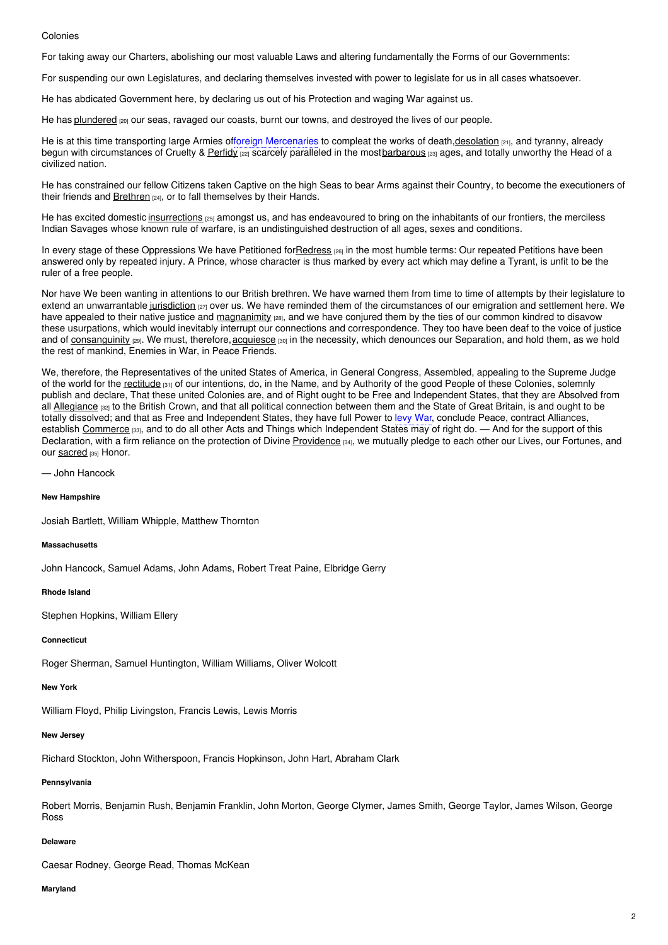#### Colonies

For taking away our Charters, abolishing our most valuable Laws and altering fundamentally the Forms of our Governments:

For suspending our own Legislatures, and declaring themselves invested with power to legislate for us in all cases whatsoever.

He has abdicated Government here, by declaring us out of his Protection and waging War against us.

He has [plundered](https://ncpedia.org/glossary/plunder) <sub>[20]</sub> our seas, ravaged our coasts, burnt our towns, and destroyed the lives of our people.

He is at this time transporting large Armies offoreign Mercenaries to compleat the works of death, desolation [21], and tyranny, already begun with circumstances of Cruelty & [Perfidy](https://ncpedia.org/glossary/perfidy) [22] scarcely paralleled in the most[barbarous](https://ncpedia.org/glossary/barbarous) [23] ages, and totally unworthy the Head of a civilized nation.

He has constrained our fellow Citizens taken Captive on the high Seas to bear Arms against their Country, to become the executioners of their friends and [Brethren](https://ncpedia.org/glossary/brethren) [24], or to fall themselves by their Hands.

He has excited domestic [insurrections](https://ncpedia.org/glossary/insurrection) [25] amongst us, and has endeavoured to bring on the inhabitants of our frontiers, the merciless Indian Savages whose known rule of warfare, is an undistinguished destruction of all ages, sexes and conditions.

In every stage of these Oppressions We have Petitioned for Redress [26] in the most humble terms: Our repeated Petitions have been answered only by repeated injury. A Prince, whose character is thus marked by every act which may define a Tyrant, is unfit to be the ruler of a free people.

Nor have We been wanting in attentions to our British brethren. We have warned them from time to time of attempts by their legislature to extend an unwarrantable [jurisdiction](https://ncpedia.org/glossary/jurisdiction) [27] over us. We have reminded them of the circumstances of our emigration and settlement here. We have appealed to their native justice and [magnanimity](https://ncpedia.org/glossary/magnanimity) [28], and we have conjured them by the ties of our common kindred to disavow these usurpations, which would inevitably interrupt our connections and correspondence. They too have been deaf to the voice of justice and of [consanguinity](https://ncpedia.org/glossary/consanguinity) (29). We must, therefore, [acquiesce](https://ncpedia.org/glossary/acquiesce) [30] in the necessity, which denounces our Separation, and hold them, as we hold the rest of mankind, Enemies in War, in Peace Friends.

We, therefore, the Representatives of the united States of America, in General Congress, Assembled, appealing to the Supreme Judge of the world for the [rectitude](https://ncpedia.org/glossary/rectitude) [31] of our intentions, do, in the Name, and by Authority of the good People of these Colonies, solemnly publish and declare, That these united Colonies are, and of Right ought to be Free and Independent States, that they are Absolved from all [Allegiance](https://ncpedia.org/glossary/allegiance) [32] to the British Crown, and that all political connection between them and the State of Great Britain, is and ought to be totally dissolved; and that as Free and Independent States, they have full Power to levy War, conclude Peace, contract Alliances, establish [Commerce](https://ncpedia.org/glossary/Commerce) [33], and to do all other Acts and Things which Independent States may of right do. — And for the support of this Declaration, with a firm reliance on the protection of Divine [Providence](https://ncpedia.org/glossary/providence) [34], we mutually pledge to each other our Lives, our Fortunes, and our [sacred](https://ncpedia.org/glossary/sacred) [35] Honor.

— John Hancock

**New Hampshire**

Josiah Bartlett, William Whipple, Matthew Thornton

#### **Massachusetts**

John Hancock, Samuel Adams, John Adams, Robert Treat Paine, Elbridge Gerry

**Rhode Island**

Stephen Hopkins, William Ellery

#### **Connecticut**

Roger Sherman, Samuel Huntington, William Williams, Oliver Wolcott

#### **New York**

William Floyd, Philip Livingston, Francis Lewis, Lewis Morris

#### **New Jersey**

Richard Stockton, John Witherspoon, Francis Hopkinson, John Hart, Abraham Clark

# **Pennsylvania**

Robert Morris, Benjamin Rush, Benjamin Franklin, John Morton, George Clymer, James Smith, George Taylor, James Wilson, George Ross

#### **Delaware**

Caesar Rodney, George Read, Thomas McKean

#### **Maryland**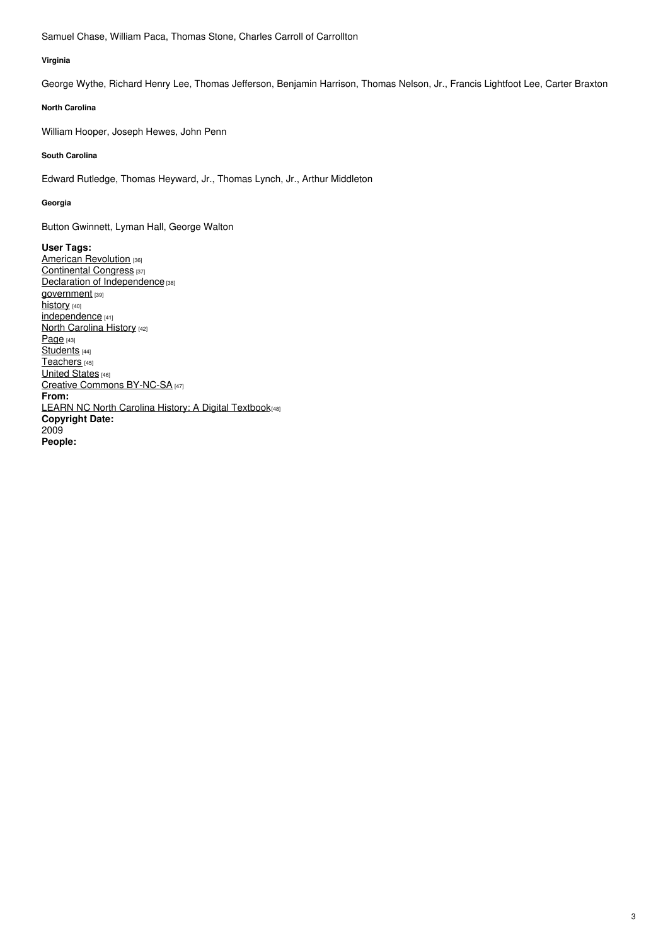Samuel Chase, William Paca, Thomas Stone, Charles Carroll of Carrollton

#### **Virginia**

George Wythe, Richard Henry Lee, Thomas Jefferson, Benjamin Harrison, Thomas Nelson, Jr., Francis Lightfoot Lee, Carter Braxton

# **North Carolina**

William Hooper, Joseph Hewes, John Penn

# **South Carolina**

Edward Rutledge, Thomas Heyward, Jr., Thomas Lynch, Jr., Arthur Middleton

#### **Georgia**

Button Gwinnett, Lyman Hall, George Walton

**User Tags:** American [Revolution](https://ncpedia.org/category/user-tags/american) [36] [Continental](https://ncpedia.org/category/user-tags/continental-0) Congress [37] Declaration of [Independence](https://ncpedia.org/category/user-tags/declaration) [38] [government](https://ncpedia.org/category/user-tags/government) [39] [history](https://ncpedia.org/category/user-tags/history) [40] [independence](https://ncpedia.org/category/user-tags/independence) [41] North [Carolina](https://ncpedia.org/category/user-tags/north-carolina-6) History [42] [Page](https://ncpedia.org/category/user-tags/page) [43] [Students](https://ncpedia.org/category/user-tags/students) [44] [Teachers](https://ncpedia.org/category/user-tags/teachers) [45] **[United](https://ncpedia.org/category/user-tags/united-states) States** [46] Creative Commons [BY-NC-SA](https://ncpedia.org/category/user-tags/creative-commons) [47] **From:** LEARN NC North Carolina History: A Digital [Textbook](https://ncpedia.org/category/entry-source/learn-nc)<sub>[48]</sub> **Copyright Date:** 2009 **People:**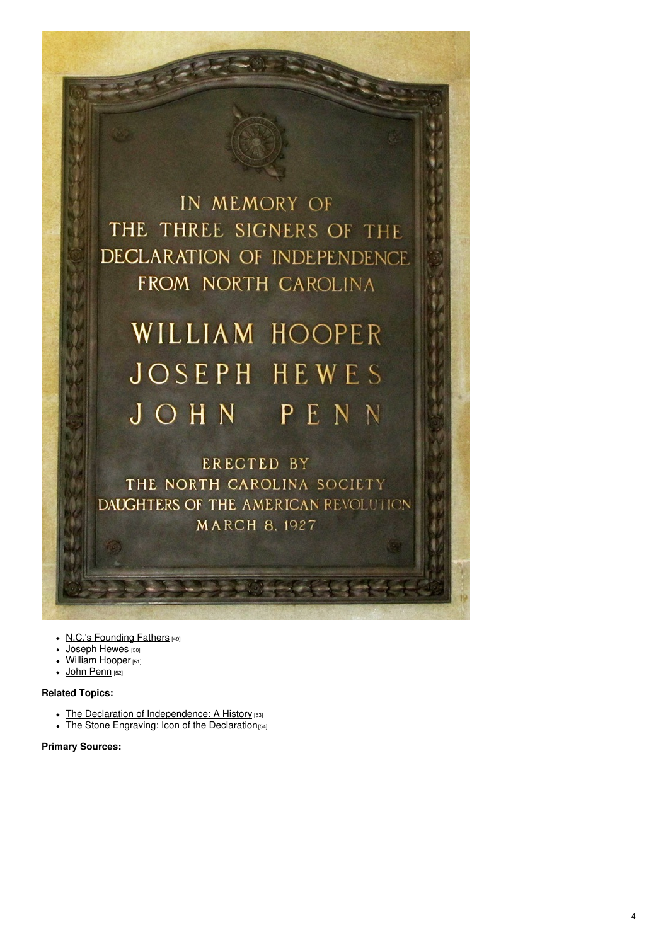IN MEMORY OF THE THREE SIGNERS OF THE DECLARATION OF INDEPENDENCE FROM NORTH CAROLINA

# WILLIAM HOOPER **JOSEPH HEWES** JOHN PENN

**ERECTED BY** THE NORTH CAROLINA SOCIETY DAUGHTERS OF THE AMERICAN REVOLUTION **MARCH 8, 1927** 

- N.C.'s [Founding](https://www.ncpedia.org/history/usrevolution/continental-congress) Fathers [49]
- [Joseph](https://www.ncpedia.org/biography/hewes-joseph) Hewes [50]
- [William](https://www.ncpedia.org/biography/hooper-william) Hooper [51]
- $\bullet$  John [Penn](https://www.ncpedia.org/biography/penn-john) [52]

# **Related Topics:**

- The Declaration of [Independence:](https://www.archives.gov/founding-docs/declaration-history) A History [53]
- The Stone [Engraving:](https://www.archives.gov/publications/prologue/2003/fall/stone-engraving.html) Icon of the Declaration [54]

### **Primary Sources:**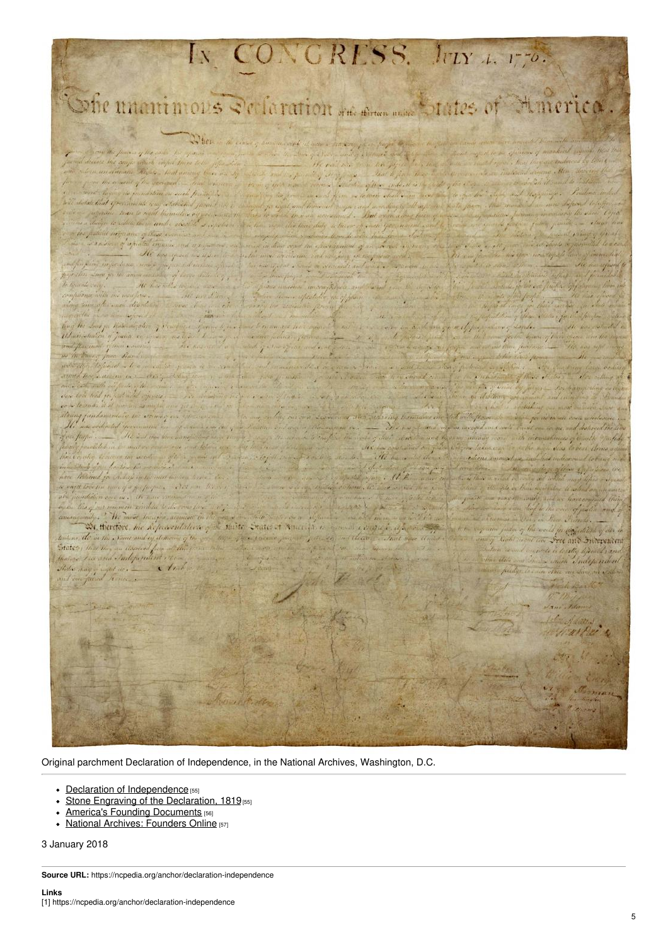

Original parchment Declaration of Independence, in the National Archives, Washington, D.C.

- Declaration of [Independence](https://www.archives.gov/founding-docs/downloads) [55]
- Stone Engraving of the [Declaration,](https://www.archives.gov/founding-docs/downloads) 1819<sub>[55]</sub>
- America's Founding [Documents](https://www.archives.gov/founding-docs/declaration) [56]
- National Archives: [Founders](https://founders.archives.gov/) Online [57]

3 January 2018

**Source URL:** https://ncpedia.org/anchor/declaration-independence